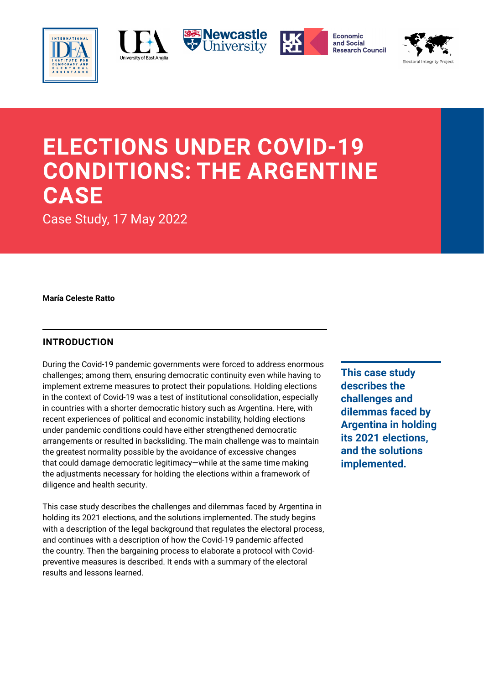





Economic and Social **Research Council** 



# **ELECTIONS UNDER COVID-19 CONDITIONS: THE ARGENTINE CASE**

Case Study, 17 May 2022

**María Celeste Ratto**

# **INTRODUCTION**

During the Covid-19 pandemic governments were forced to address enormous challenges; among them, ensuring democratic continuity even while having to implement extreme measures to protect their populations. Holding elections in the context of Covid-19 was a test of institutional consolidation, especially in countries with a shorter democratic history such as Argentina. Here, with recent experiences of political and economic instability, holding elections under pandemic conditions could have either strengthened democratic arrangements or resulted in backsliding. The main challenge was to maintain the greatest normality possible by the avoidance of excessive changes that could damage democratic legitimacy—while at the same time making the adjustments necessary for holding the elections within a framework of diligence and health security.

This case study describes the challenges and dilemmas faced by Argentina in holding its 2021 elections, and the solutions implemented. The study begins with a description of the legal background that regulates the electoral process, and continues with a description of how the Covid-19 pandemic affected the country. Then the bargaining process to elaborate a protocol with Covidpreventive measures is described. It ends with a summary of the electoral results and lessons learned.

**This case study describes the challenges and dilemmas faced by Argentina in holding its 2021 elections, and the solutions implemented.**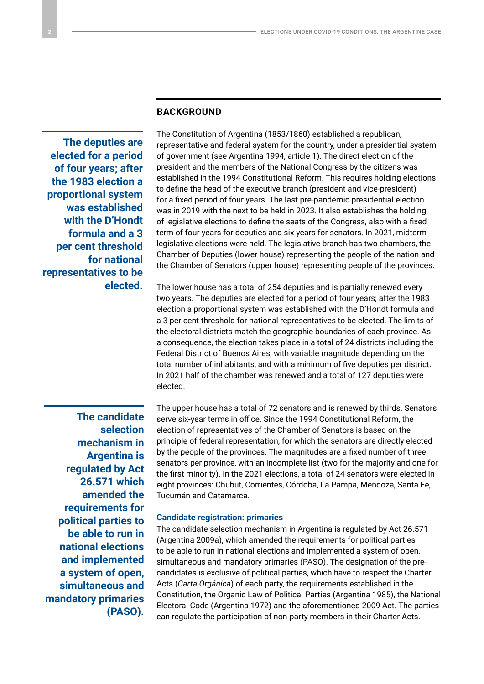# **BACKGROUND**

**The deputies are elected for a period of four years; after the 1983 election a proportional system was established with the D'Hondt formula and a 3 per cent threshold for national representatives to be elected.** The Constitution of Argentina (1853/1860) established a republican, representative and federal system for the country, under a presidential system of government (see Argentina 1994, article 1). The direct election of the president and the members of the National Congress by the citizens was established in the 1994 Constitutional Reform. This requires holding elections to define the head of the executive branch (president and vice-president) for a fixed period of four years. The last pre-pandemic presidential election was in 2019 with the next to be held in 2023. It also establishes the holding of legislative elections to define the seats of the Congress, also with a fixed term of four years for deputies and six years for senators. In 2021, midterm legislative elections were held. The legislative branch has two chambers, the Chamber of Deputies (lower house) representing the people of the nation and the Chamber of Senators (upper house) representing people of the provinces.

The lower house has a total of 254 deputies and is partially renewed every two years. The deputies are elected for a period of four years; after the 1983 election a proportional system was established with the D'Hondt formula and a 3 per cent threshold for national representatives to be elected. The limits of the electoral districts match the geographic boundaries of each province. As a consequence, the election takes place in a total of 24 districts including the Federal District of Buenos Aires, with variable magnitude depending on the total number of inhabitants, and with a minimum of five deputies per district. In 2021 half of the chamber was renewed and a total of 127 deputies were elected.

**The candidate selection mechanism in Argentina is regulated by Act 26.571 which amended the requirements for political parties to be able to run in national elections and implemented a system of open, simultaneous and mandatory primaries (PASO).**

The upper house has a total of 72 senators and is renewed by thirds. Senators serve six-year terms in office. Since the 1994 Constitutional Reform, the election of representatives of the Chamber of Senators is based on the principle of federal representation, for which the senators are directly elected by the people of the provinces. The magnitudes are a fixed number of three senators per province, with an incomplete list (two for the majority and one for the first minority). In the 2021 elections, a total of 24 senators were elected in eight provinces: Chubut, Corrientes, Córdoba, La Pampa, Mendoza, Santa Fe, Tucumán and Catamarca.

#### **Candidate registration: primaries**

The candidate selection mechanism in Argentina is regulated by Act 26.571 (Argentina 2009a), which amended the requirements for political parties to be able to run in national elections and implemented a system of open, simultaneous and mandatory primaries (PASO). The designation of the precandidates is exclusive of political parties, which have to respect the Charter Acts (*Carta Orgánica*) of each party, the requirements established in the Constitution, the Organic Law of Political Parties (Argentina 1985), the National Electoral Code (Argentina 1972) and the aforementioned 2009 Act. The parties can regulate the participation of non-party members in their Charter Acts.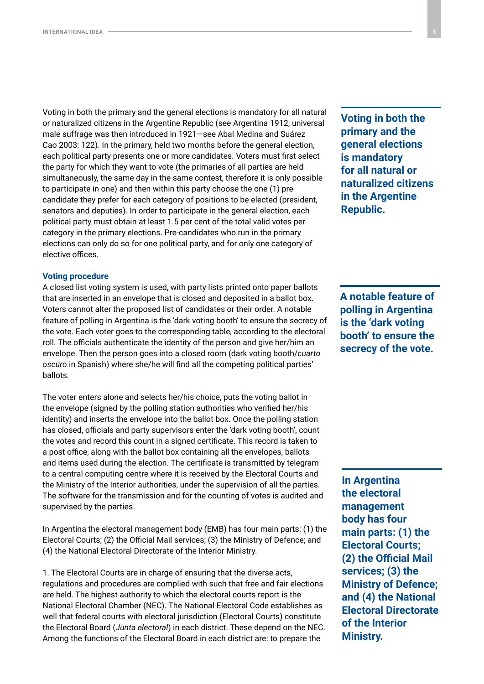Voting in both the primary and the general elections is mandatory for all natural or naturalized citizens in the Argentine Republic (see Argentina 1912; universal male suffrage was then introduced in 1921—see Abal Medina and Suárez Cao 2003: 122). In the primary, held two months before the general election, each political party presents one or more candidates. Voters must first select the party for which they want to vote (the primaries of all parties are held simultaneously, the same day in the same contest, therefore it is only possible to participate in one) and then within this party choose the one (1) precandidate they prefer for each category of positions to be elected (president, senators and deputies). In order to participate in the general election, each political party must obtain at least 1.5 per cent of the total valid votes per category in the primary elections. Pre-candidates who run in the primary elections can only do so for one political party, and for only one category of elective offices.

#### **Voting procedure**

A closed list voting system is used, with party lists printed onto paper ballots that are inserted in an envelope that is closed and deposited in a ballot box. Voters cannot alter the proposed list of candidates or their order. A notable feature of polling in Argentina is the 'dark voting booth' to ensure the secrecy of the vote. Each voter goes to the corresponding table, according to the electoral roll. The officials authenticate the identity of the person and give her/him an envelope. Then the person goes into a closed room (dark voting booth/*cuarto oscuro* in Spanish) where she/he will find all the competing political parties' ballots.

The voter enters alone and selects her/his choice, puts the voting ballot in the envelope (signed by the polling station authorities who verified her/his identity) and inserts the envelope into the ballot box. Once the polling station has closed, officials and party supervisors enter the 'dark voting booth', count the votes and record this count in a signed certificate. This record is taken to a post office, along with the ballot box containing all the envelopes, ballots and items used during the election. The certificate is transmitted by telegram to a central computing centre where it is received by the Electoral Courts and the Ministry of the Interior authorities, under the supervision of all the parties. The software for the transmission and for the counting of votes is audited and supervised by the parties.

In Argentina the electoral management body (EMB) has four main parts: (1) the Electoral Courts; (2) the Official Mail services; (3) the Ministry of Defence; and (4) the National Electoral Directorate of the Interior Ministry.

1. The Electoral Courts are in charge of ensuring that the diverse acts, regulations and procedures are complied with such that free and fair elections are held. The highest authority to which the electoral courts report is the National Electoral Chamber (NEC). The National Electoral Code establishes as well that federal courts with electoral jurisdiction (Electoral Courts) constitute the Electoral Board (*Junta electoral*) in each district. These depend on the NEC. Among the functions of the Electoral Board in each district are: to prepare the

**Voting in both the primary and the general elections is mandatory for all natural or naturalized citizens in the Argentine Republic.**

**A notable feature of polling in Argentina is the 'dark voting booth' to ensure the secrecy of the vote.**

**In Argentina the electoral management body has four main parts: (1) the Electoral Courts; (2) the Official Mail services; (3) the Ministry of Defence; and (4) the National Electoral Directorate of the Interior Ministry.**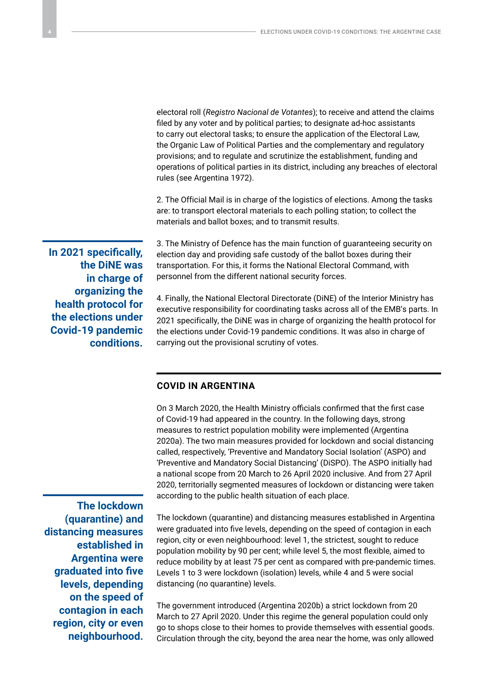electoral roll (*Registro Nacional de Votantes*); to receive and attend the claims filed by any voter and by political parties; to designate ad-hoc assistants to carry out electoral tasks; to ensure the application of the Electoral Law, the Organic Law of Political Parties and the complementary and regulatory provisions; and to regulate and scrutinize the establishment, funding and operations of political parties in its district, including any breaches of electoral rules (see Argentina 1972).

2. The Official Mail is in charge of the logistics of elections. Among the tasks are: to transport electoral materials to each polling station; to collect the materials and ballot boxes; and to transmit results.

3. The Ministry of Defence has the main function of guaranteeing security on election day and providing safe custody of the ballot boxes during their transportation. For this, it forms the National Electoral Command, with personnel from the different national security forces.

**In 2021 specifically, the DiNE was in charge of organizing the health protocol for the elections under Covid-19 pandemic conditions.**

4. Finally, the National Electoral Directorate (DiNE) of the Interior Ministry has executive responsibility for coordinating tasks across all of the EMB's parts. In 2021 specifically, the DiNE was in charge of organizing the health protocol for the elections under Covid-19 pandemic conditions. It was also in charge of carrying out the provisional scrutiny of votes.

# **COVID IN ARGENTINA**

On 3 March 2020, the Health Ministry officials confirmed that the first case of Covid-19 had appeared in the country. In the following days, strong measures to restrict population mobility were implemented (Argentina 2020a). The two main measures provided for lockdown and social distancing called, respectively, 'Preventive and Mandatory Social Isolation' (ASPO) and 'Preventive and Mandatory Social Distancing' (DiSPO). The ASPO initially had a national scope from 20 March to 26 April 2020 inclusive. And from 27 April 2020, territorially segmented measures of lockdown or distancing were taken according to the public health situation of each place.

**The lockdown (quarantine) and distancing measures established in Argentina were graduated into five levels, depending on the speed of contagion in each region, city or even neighbourhood.**

The lockdown (quarantine) and distancing measures established in Argentina were graduated into five levels, depending on the speed of contagion in each region, city or even neighbourhood: level 1, the strictest, sought to reduce population mobility by 90 per cent; while level 5, the most flexible, aimed to reduce mobility by at least 75 per cent as compared with pre-pandemic times. Levels 1 to 3 were lockdown (isolation) levels, while 4 and 5 were social distancing (no quarantine) levels.

The government introduced (Argentina 2020b) a strict lockdown from 20 March to 27 April 2020. Under this regime the general population could only go to shops close to their homes to provide themselves with essential goods. Circulation through the city, beyond the area near the home, was only allowed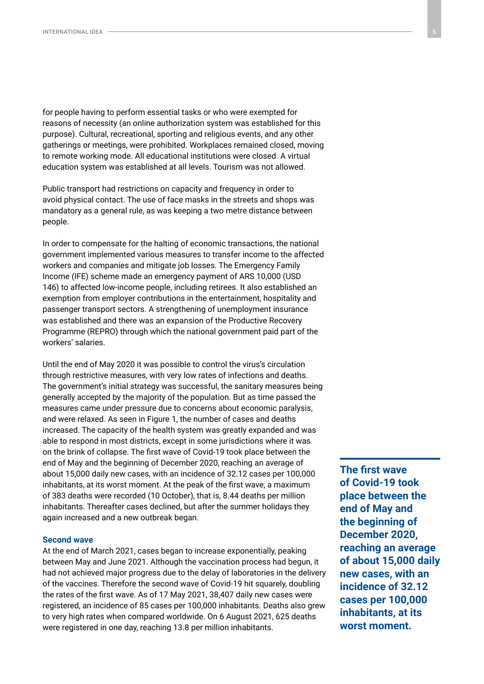for people having to perform essential tasks or who were exempted for reasons of necessity (an online authorization system was established for this purpose). Cultural, recreational, sporting and religious events, and any other gatherings or meetings, were prohibited. Workplaces remained closed, moving to remote working mode. All educational institutions were closed. A virtual education system was established at all levels. Tourism was not allowed.

Public transport had restrictions on capacity and frequency in order to avoid physical contact. The use of face masks in the streets and shops was mandatory as a general rule, as was keeping a two metre distance between people.

In order to compensate for the halting of economic transactions, the national government implemented various measures to transfer income to the affected workers and companies and mitigate job losses. The Emergency Family Income (IFE) scheme made an emergency payment of ARS 10,000 (USD 146) to affected low-income people, including retirees. It also established an exemption from employer contributions in the entertainment, hospitality and passenger transport sectors. A strengthening of unemployment insurance was established and there was an expansion of the Productive Recovery Programme (REPRO) through which the national government paid part of the workers' salaries.

Until the end of May 2020 it was possible to control the virus's circulation through restrictive measures, with very low rates of infections and deaths. The government's initial strategy was successful, the sanitary measures being generally accepted by the majority of the population. But as time passed the measures came under pressure due to concerns about economic paralysis, and were relaxed. As seen in Figure 1, the number of cases and deaths increased. The capacity of the health system was greatly expanded and was able to respond in most districts, except in some jurisdictions where it was on the brink of collapse. The first wave of Covid-19 took place between the end of May and the beginning of December 2020, reaching an average of about 15,000 daily new cases, with an incidence of 32.12 cases per 100,000 inhabitants, at its worst moment. At the peak of the first wave, a maximum of 383 deaths were recorded (10 October), that is, 8.44 deaths per million inhabitants. Thereafter cases declined, but after the summer holidays they again increased and a new outbreak began.

#### **Second wave**

At the end of March 2021, cases began to increase exponentially, peaking between May and June 2021. Although the vaccination process had begun, it had not achieved major progress due to the delay of laboratories in the delivery of the vaccines. Therefore the second wave of Covid-19 hit squarely, doubling the rates of the first wave. As of 17 May 2021, 38,407 daily new cases were registered, an incidence of 85 cases per 100,000 inhabitants. Deaths also grew to very high rates when compared worldwide. On 6 August 2021, 625 deaths were registered in one day, reaching 13.8 per million inhabitants.

**The first wave of Covid-19 took place between the end of May and the beginning of December 2020, reaching an average of about 15,000 daily new cases, with an incidence of 32.12 cases per 100,000 inhabitants, at its worst moment.**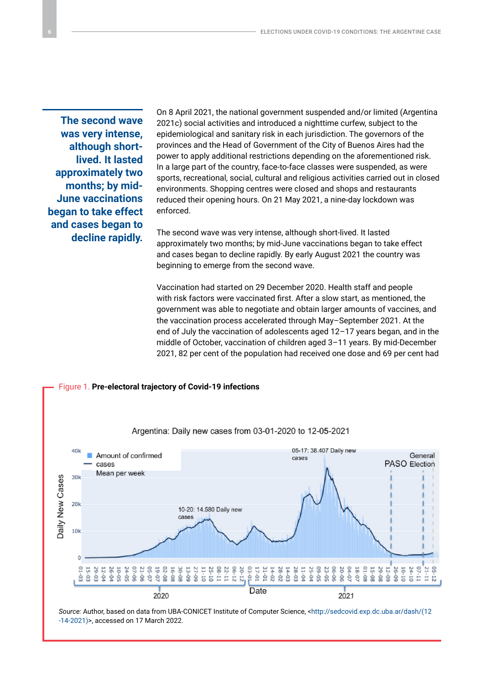**The second wave was very intense, although shortlived. It lasted approximately two months; by mid-June vaccinations began to take effect and cases began to decline rapidly.** On 8 April 2021, the national government suspended and/or limited (Argentina 2021c) social activities and introduced a nighttime curfew, subject to the epidemiological and sanitary risk in each jurisdiction. The governors of the provinces and the Head of Government of the City of Buenos Aires had the power to apply additional restrictions depending on the aforementioned risk. In a large part of the country, face-to-face classes were suspended, as were sports, recreational, social, cultural and religious activities carried out in closed environments. Shopping centres were closed and shops and restaurants reduced their opening hours. On 21 May 2021, a nine-day lockdown was enforced.

The second wave was very intense, although short-lived. It lasted approximately two months; by mid-June vaccinations began to take effect and cases began to decline rapidly. By early August 2021 the country was beginning to emerge from the second wave.

Vaccination had started on 29 December 2020. Health staff and people with risk factors were vaccinated first. After a slow start, as mentioned, the government was able to negotiate and obtain larger amounts of vaccines, and the vaccination process accelerated through May–September 2021. At the end of July the vaccination of adolescents aged 12–17 years began, and in the middle of October, vaccination of children aged 3–11 years. By mid-December 2021, 82 per cent of the population had received one dose and 69 per cent had



*Source:* Author, based on data from UBA-CONICET Institute of Computer Science, <[http://sedcovid.exp.dc.uba.ar/dash/\(12](http://sedcovid.exp.dc.uba.ar/dash/(12-14-2021)) [-14-2021\)>](http://sedcovid.exp.dc.uba.ar/dash/(12-14-2021)), accessed on 17 March 2022.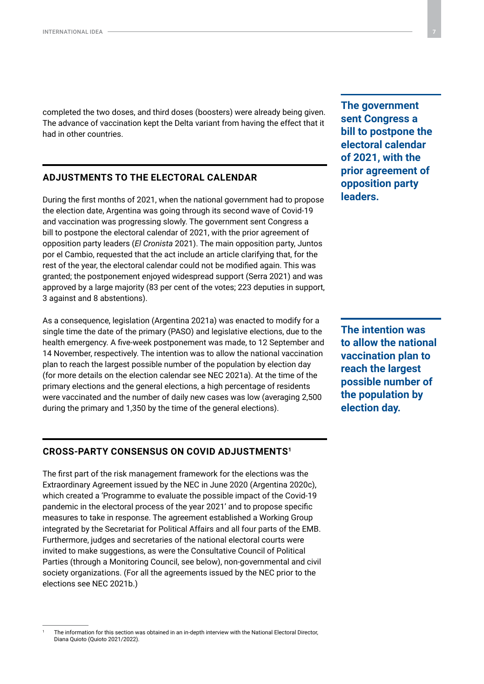completed the two doses, and third doses (boosters) were already being given. The advance of vaccination kept the Delta variant from having the effect that it had in other countries.

# **ADJUSTMENTS TO THE ELECTORAL CALENDAR**

During the first months of 2021, when the national government had to propose the election date, Argentina was going through its second wave of Covid-19 and vaccination was progressing slowly. The government sent Congress a bill to postpone the electoral calendar of 2021, with the prior agreement of opposition party leaders (*El Cronista* 2021). The main opposition party, Juntos por el Cambio, requested that the act include an article clarifying that, for the rest of the year, the electoral calendar could not be modified again. This was granted; the postponement enjoyed widespread support (Serra 2021) and was approved by a large majority (83 per cent of the votes; 223 deputies in support, 3 against and 8 abstentions).

As a consequence, legislation (Argentina 2021a) was enacted to modify for a single time the date of the primary (PASO) and legislative elections, due to the health emergency. A five-week postponement was made, to 12 September and 14 November, respectively. The intention was to allow the national vaccination plan to reach the largest possible number of the population by election day (for more details on the election calendar see NEC 2021a). At the time of the primary elections and the general elections, a high percentage of residents were vaccinated and the number of daily new cases was low (averaging 2,500 during the primary and 1,350 by the time of the general elections).

# **CROSS-PARTY CONSENSUS ON COVID ADJUSTMENTS1**

The first part of the risk management framework for the elections was the Extraordinary Agreement issued by the NEC in June 2020 (Argentina 2020c), which created a 'Programme to evaluate the possible impact of the Covid-19 pandemic in the electoral process of the year 2021' and to propose specific measures to take in response. The agreement established a Working Group integrated by the Secretariat for Political Affairs and all four parts of the EMB. Furthermore, judges and secretaries of the national electoral courts were invited to make suggestions, as were the Consultative Council of Political Parties (through a Monitoring Council, see below), non-governmental and civil society organizations. (For all the agreements issued by the NEC prior to the elections see NEC 2021b.)

<sup>1</sup> The information for this section was obtained in an in-depth interview with the National Electoral Director, Diana Quioto (Quioto 2021/2022).

**The government sent Congress a bill to postpone the electoral calendar of 2021, with the prior agreement of opposition party leaders.**

**The intention was to allow the national vaccination plan to reach the largest possible number of the population by election day.**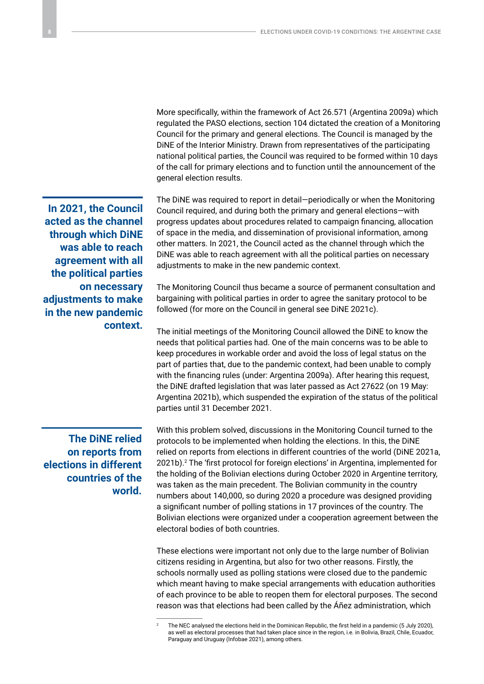More specifically, within the framework of Act 26.571 (Argentina 2009a) which regulated the PASO elections, section 104 dictated the creation of a Monitoring Council for the primary and general elections. The Council is managed by the DiNE of the Interior Ministry. Drawn from representatives of the participating national political parties, the Council was required to be formed within 10 days of the call for primary elections and to function until the announcement of the general election results.

**In 2021, the Council acted as the channel through which DiNE was able to reach agreement with all the political parties on necessary adjustments to make in the new pandemic context.**

**The DiNE relied on reports from elections in different countries of the world.**

The DiNE was required to report in detail—periodically or when the Monitoring Council required, and during both the primary and general elections—with progress updates about procedures related to campaign financing, allocation of space in the media, and dissemination of provisional information, among other matters. In 2021, the Council acted as the channel through which the DiNE was able to reach agreement with all the political parties on necessary adjustments to make in the new pandemic context.

The Monitoring Council thus became a source of permanent consultation and bargaining with political parties in order to agree the sanitary protocol to be followed (for more on the Council in general see DiNE 2021c).

The initial meetings of the Monitoring Council allowed the DiNE to know the needs that political parties had. One of the main concerns was to be able to keep procedures in workable order and avoid the loss of legal status on the part of parties that, due to the pandemic context, had been unable to comply with the financing rules (under: Argentina 2009a). After hearing this request, the DiNE drafted legislation that was later passed as Act 27622 (on 19 May: Argentina 2021b), which suspended the expiration of the status of the political parties until 31 December 2021.

With this problem solved, discussions in the Monitoring Council turned to the protocols to be implemented when holding the elections. In this, the DiNE relied on reports from elections in different countries of the world (DiNE 2021a, 2021b).2 The 'first protocol for foreign elections' in Argentina, implemented for the holding of the Bolivian elections during October 2020 in Argentine territory, was taken as the main precedent. The Bolivian community in the country numbers about 140,000, so during 2020 a procedure was designed providing a significant number of polling stations in 17 provinces of the country. The Bolivian elections were organized under a cooperation agreement between the electoral bodies of both countries.

These elections were important not only due to the large number of Bolivian citizens residing in Argentina, but also for two other reasons. Firstly, the schools normally used as polling stations were closed due to the pandemic which meant having to make special arrangements with education authorities of each province to be able to reopen them for electoral purposes. The second reason was that elections had been called by the Áñez administration, which

<sup>2</sup> The NEC analysed the elections held in the Dominican Republic, the first held in a pandemic (5 July 2020), as well as electoral processes that had taken place since in the region, i.e. in Bolivia, Brazil, Chile, Ecuador, Paraguay and Uruguay (Infobae 2021), among others.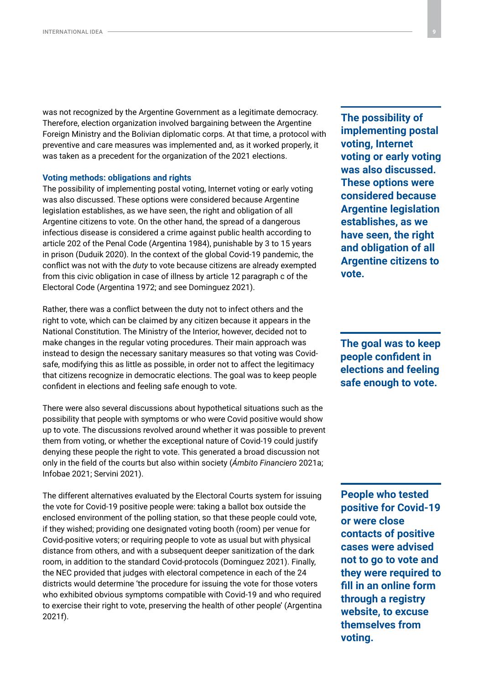was not recognized by the Argentine Government as a legitimate democracy. Therefore, election organization involved bargaining between the Argentine Foreign Ministry and the Bolivian diplomatic corps. At that time, a protocol with preventive and care measures was implemented and, as it worked properly, it was taken as a precedent for the organization of the 2021 elections.

#### **Voting methods: obligations and rights**

The possibility of implementing postal voting, Internet voting or early voting was also discussed. These options were considered because Argentine legislation establishes, as we have seen, the right and obligation of all Argentine citizens to vote. On the other hand, the spread of a dangerous infectious disease is considered a crime against public health according to article 202 of the Penal Code (Argentina 1984), punishable by 3 to 15 years in prison (Duduik 2020). In the context of the global Covid-19 pandemic, the conflict was not with the *duty* to vote because citizens are already exempted from this civic obligation in case of illness by article 12 paragraph c of the Electoral Code (Argentina 1972; and see Dominguez 2021).

Rather, there was a conflict between the duty not to infect others and the right to vote, which can be claimed by any citizen because it appears in the National Constitution. The Ministry of the Interior, however, decided not to make changes in the regular voting procedures. Their main approach was instead to design the necessary sanitary measures so that voting was Covidsafe, modifying this as little as possible, in order not to affect the legitimacy that citizens recognize in democratic elections. The goal was to keep people confident in elections and feeling safe enough to vote.

There were also several discussions about hypothetical situations such as the possibility that people with symptoms or who were Covid positive would show up to vote. The discussions revolved around whether it was possible to prevent them from voting, or whether the exceptional nature of Covid-19 could justify denying these people the right to vote. This generated a broad discussion not only in the field of the courts but also within society (*Ámbito Financiero* 2021a; Infobae 2021; Servini 2021).

The different alternatives evaluated by the Electoral Courts system for issuing the vote for Covid-19 positive people were: taking a ballot box outside the enclosed environment of the polling station, so that these people could vote, if they wished; providing one designated voting booth (room) per venue for Covid-positive voters; or requiring people to vote as usual but with physical distance from others, and with a subsequent deeper sanitization of the dark room, in addition to the standard Covid-protocols (Dominguez 2021). Finally, the NEC provided that judges with electoral competence in each of the 24 districts would determine 'the procedure for issuing the vote for those voters who exhibited obvious symptoms compatible with Covid-19 and who required to exercise their right to vote, preserving the health of other people' (Argentina 2021f).

**The possibility of implementing postal voting, Internet voting or early voting was also discussed. These options were considered because Argentine legislation establishes, as we have seen, the right and obligation of all Argentine citizens to vote.**

**The goal was to keep people confident in elections and feeling safe enough to vote.**

**People who tested positive for Covid-19 or were close contacts of positive cases were advised not to go to vote and they were required to fill in an online form through a registry website, to excuse themselves from voting.**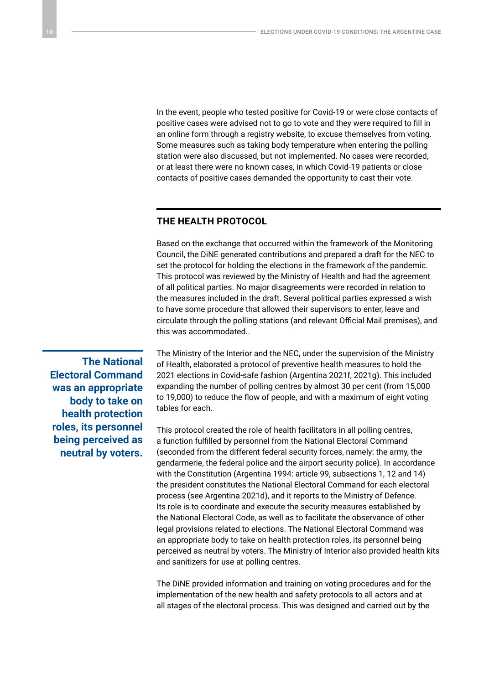In the event, people who tested positive for Covid-19 or were close contacts of positive cases were advised not to go to vote and they were required to fill in an online form through a registry website, to excuse themselves from voting. Some measures such as taking body temperature when entering the polling station were also discussed, but not implemented. No cases were recorded, or at least there were no known cases, in which Covid-19 patients or close contacts of positive cases demanded the opportunity to cast their vote.

## **THE HEALTH PROTOCOL**

Based on the exchange that occurred within the framework of the Monitoring Council, the DiNE generated contributions and prepared a draft for the NEC to set the protocol for holding the elections in the framework of the pandemic. This protocol was reviewed by the Ministry of Health and had the agreement of all political parties. No major disagreements were recorded in relation to the measures included in the draft. Several political parties expressed a wish to have some procedure that allowed their supervisors to enter, leave and circulate through the polling stations (and relevant Official Mail premises), and this was accommodated..

**The National Electoral Command was an appropriate body to take on health protection roles, its personnel being perceived as neutral by voters.**

The Ministry of the Interior and the NEC, under the supervision of the Ministry of Health, elaborated a protocol of preventive health measures to hold the 2021 elections in Covid-safe fashion (Argentina 2021f, 2021g). This included expanding the number of polling centres by almost 30 per cent (from 15,000 to 19,000) to reduce the flow of people, and with a maximum of eight voting tables for each.

This protocol created the role of health facilitators in all polling centres, a function fulfilled by personnel from the National Electoral Command (seconded from the different federal security forces, namely: the army, the gendarmerie, the federal police and the airport security police). In accordance with the Constitution (Argentina 1994: article 99, subsections 1, 12 and 14) the president constitutes the National Electoral Command for each electoral process (see Argentina 2021d), and it reports to the Ministry of Defence. Its role is to coordinate and execute the security measures established by the National Electoral Code, as well as to facilitate the observance of other legal provisions related to elections. The National Electoral Command was an appropriate body to take on health protection roles, its personnel being perceived as neutral by voters. The Ministry of Interior also provided health kits and sanitizers for use at polling centres.

The DiNE provided information and training on voting procedures and for the implementation of the new health and safety protocols to all actors and at all stages of the electoral process. This was designed and carried out by the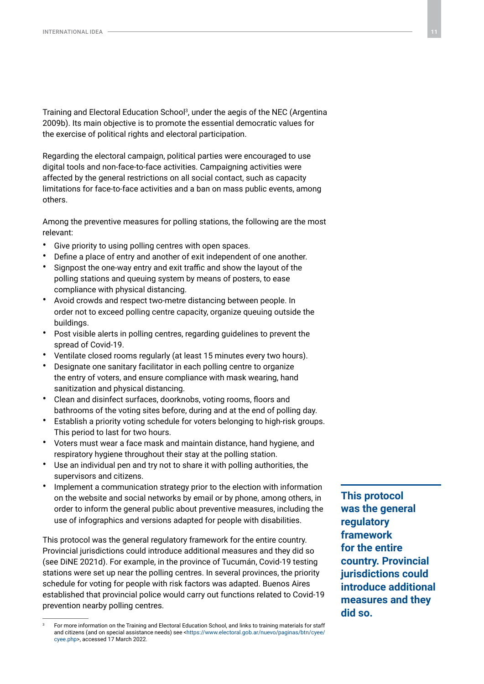Training and Electoral Education School3 , under the aegis of the NEC (Argentina 2009b). Its main objective is to promote the essential democratic values for the exercise of political rights and electoral participation.

Regarding the electoral campaign, political parties were encouraged to use digital tools and non-face-to-face activities. Campaigning activities were affected by the general restrictions on all social contact, such as capacity limitations for face-to-face activities and a ban on mass public events, among others.

Among the preventive measures for polling stations, the following are the most relevant:

- Give priority to using polling centres with open spaces.
- Define a place of entry and another of exit independent of one another.
- Signpost the one-way entry and exit traffic and show the layout of the polling stations and queuing system by means of posters, to ease compliance with physical distancing.
- Avoid crowds and respect two-metre distancing between people. In order not to exceed polling centre capacity, organize queuing outside the buildings.
- Post visible alerts in polling centres, regarding guidelines to prevent the spread of Covid-19.
- Ventilate closed rooms regularly (at least 15 minutes every two hours).
- Designate one sanitary facilitator in each polling centre to organize the entry of voters, and ensure compliance with mask wearing, hand sanitization and physical distancing.
- Clean and disinfect surfaces, doorknobs, voting rooms, floors and bathrooms of the voting sites before, during and at the end of polling day.
- Establish a priority voting schedule for voters belonging to high-risk groups. This period to last for two hours.
- Voters must wear a face mask and maintain distance, hand hygiene, and respiratory hygiene throughout their stay at the polling station.
- Use an individual pen and try not to share it with polling authorities, the supervisors and citizens.
- Implement a communication strategy prior to the election with information on the website and social networks by email or by phone, among others, in order to inform the general public about preventive measures, including the use of infographics and versions adapted for people with disabilities.

This protocol was the general regulatory framework for the entire country. Provincial jurisdictions could introduce additional measures and they did so (see DiNE 2021d). For example, in the province of Tucumán, Covid-19 testing stations were set up near the polling centres. In several provinces, the priority schedule for voting for people with risk factors was adapted. Buenos Aires established that provincial police would carry out functions related to Covid-19 prevention nearby polling centres.

**This protocol was the general regulatory framework for the entire country. Provincial jurisdictions could introduce additional measures and they did so.**

<sup>3</sup> For more information on the Training and Electoral Education School, and links to training materials for staff and citizens (and on special assistance needs) see <[https://www.electoral.gob.ar/nuevo/paginas/btn/cyee/](https://www.electoral.gob.ar/nuevo/paginas/btn/cyee/cyee.php) [cyee.php>](https://www.electoral.gob.ar/nuevo/paginas/btn/cyee/cyee.php), accessed 17 March 2022.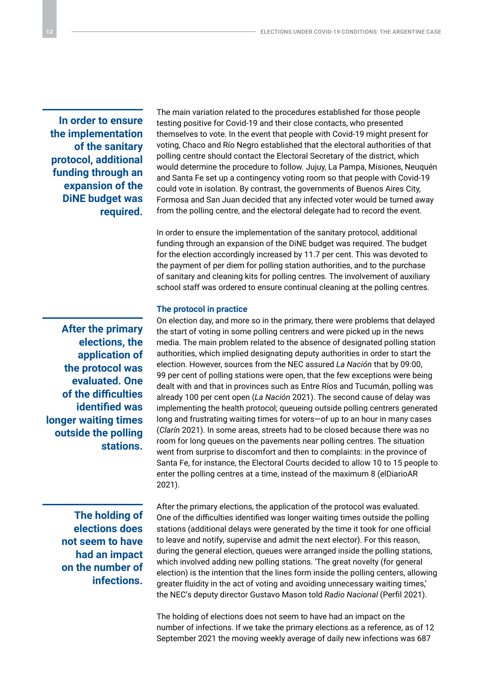**In order to ensure the implementation of the sanitary protocol, additional funding through an expansion of the DiNE budget was required.**

**After the primary elections, the application of the protocol was evaluated. One of the difficulties identified was longer waiting times outside the polling stations.**

> **The holding of elections does not seem to have had an impact on the number of infections.**

The main variation related to the procedures established for those people testing positive for Covid-19 and their close contacts, who presented themselves to vote. In the event that people with Covid-19 might present for voting, Chaco and Río Negro established that the electoral authorities of that polling centre should contact the Electoral Secretary of the district, which would determine the procedure to follow. Jujuy, La Pampa, Misiones, Neuquén and Santa Fe set up a contingency voting room so that people with Covid-19 could vote in isolation. By contrast, the governments of Buenos Aires City, Formosa and San Juan decided that any infected voter would be turned away from the polling centre, and the electoral delegate had to record the event.

In order to ensure the implementation of the sanitary protocol, additional funding through an expansion of the DiNE budget was required. The budget for the election accordingly increased by 11.7 per cent. This was devoted to the payment of per diem for polling station authorities, and to the purchase of sanitary and cleaning kits for polling centres. The involvement of auxiliary school staff was ordered to ensure continual cleaning at the polling centres.

#### **The protocol in practice**

On election day, and more so in the primary, there were problems that delayed the start of voting in some polling centrers and were picked up in the news media. The main problem related to the absence of designated polling station authorities, which implied designating deputy authorities in order to start the election. However, sources from the NEC assured *La Nación* that by 09:00, 99 per cent of polling stations were open, that the few exceptions were being dealt with and that in provinces such as Entre Ríos and Tucumán, polling was already 100 per cent open (*La Nación* 2021). The second cause of delay was implementing the health protocol; queueing outside polling centrers generated long and frustrating waiting times for voters—of up to an hour in many cases (*Clarín* 2021). In some areas, streets had to be closed because there was no room for long queues on the pavements near polling centres. The situation went from surprise to discomfort and then to complaints: in the province of Santa Fe, for instance, the Electoral Courts decided to allow 10 to 15 people to enter the polling centres at a time, instead of the maximum 8 (elDiarioAR 2021).

After the primary elections, the application of the protocol was evaluated. One of the difficulties identified was longer waiting times outside the polling stations (additional delays were generated by the time it took for one official to leave and notify, supervise and admit the next elector). For this reason, during the general election, queues were arranged inside the polling stations, which involved adding new polling stations. 'The great novelty (for general election) is the intention that the lines form inside the polling centers, allowing greater fluidity in the act of voting and avoiding unnecessary waiting times,' the NEC's deputy director Gustavo Mason told *Radio Nacional* (Perfil 2021).

The holding of elections does not seem to have had an impact on the number of infections. If we take the primary elections as a reference, as of 12 September 2021 the moving weekly average of daily new infections was 687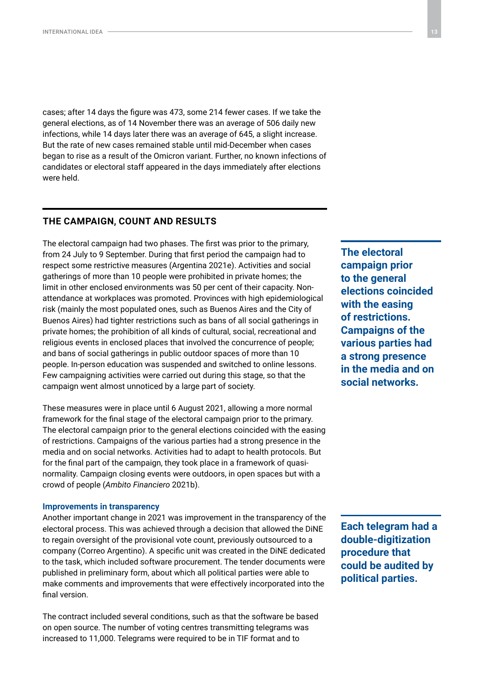cases; after 14 days the figure was 473, some 214 fewer cases. If we take the general elections, as of 14 November there was an average of 506 daily new infections, while 14 days later there was an average of 645, a slight increase. But the rate of new cases remained stable until mid-December when cases began to rise as a result of the Omicron variant. Further, no known infections of candidates or electoral staff appeared in the days immediately after elections were held.

# **THE CAMPAIGN, COUNT AND RESULTS**

The electoral campaign had two phases. The first was prior to the primary, from 24 July to 9 September. During that first period the campaign had to respect some restrictive measures (Argentina 2021e). Activities and social gatherings of more than 10 people were prohibited in private homes; the limit in other enclosed environments was 50 per cent of their capacity. Nonattendance at workplaces was promoted. Provinces with high epidemiological risk (mainly the most populated ones, such as Buenos Aires and the City of Buenos Aires) had tighter restrictions such as bans of all social gatherings in private homes; the prohibition of all kinds of cultural, social, recreational and religious events in enclosed places that involved the concurrence of people; and bans of social gatherings in public outdoor spaces of more than 10 people. In-person education was suspended and switched to online lessons. Few campaigning activities were carried out during this stage, so that the campaign went almost unnoticed by a large part of society.

These measures were in place until 6 August 2021, allowing a more normal framework for the final stage of the electoral campaign prior to the primary. The electoral campaign prior to the general elections coincided with the easing of restrictions. Campaigns of the various parties had a strong presence in the media and on social networks. Activities had to adapt to health protocols. But for the final part of the campaign, they took place in a framework of quasinormality. Campaign closing events were outdoors, in open spaces but with a crowd of people (*Ambito Financiero* 2021b).

#### **Improvements in transparency**

Another important change in 2021 was improvement in the transparency of the electoral process. This was achieved through a decision that allowed the DiNE to regain oversight of the provisional vote count, previously outsourced to a company (Correo Argentino). A specific unit was created in the DiNE dedicated to the task, which included software procurement. The tender documents were published in preliminary form, about which all political parties were able to make comments and improvements that were effectively incorporated into the final version.

The contract included several conditions, such as that the software be based on open source. The number of voting centres transmitting telegrams was increased to 11,000. Telegrams were required to be in TIF format and to

**The electoral campaign prior to the general elections coincided with the easing of restrictions. Campaigns of the various parties had a strong presence in the media and on social networks.**

**Each telegram had a double-digitization procedure that could be audited by political parties.**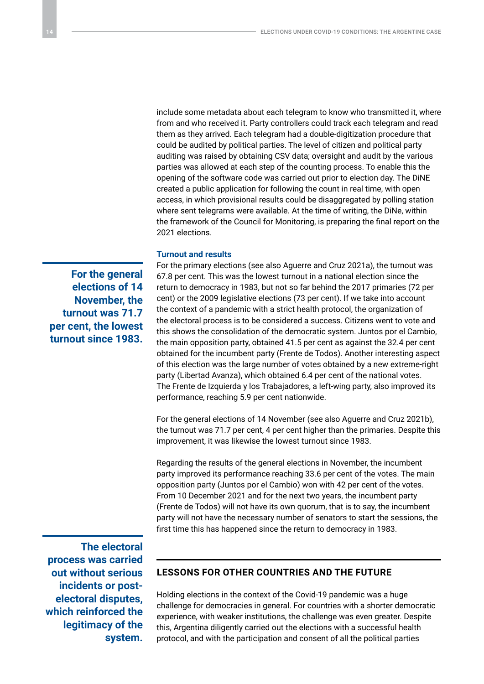include some metadata about each telegram to know who transmitted it, where from and who received it. Party controllers could track each telegram and read them as they arrived. Each telegram had a double-digitization procedure that could be audited by political parties. The level of citizen and political party auditing was raised by obtaining CSV data; oversight and audit by the various parties was allowed at each step of the counting process. To enable this the opening of the software code was carried out prior to election day. The DiNE created a public application for following the count in real time, with open access, in which provisional results could be disaggregated by polling station where sent telegrams were available. At the time of writing, the DiNe, within the framework of the Council for Monitoring, is preparing the final report on the 2021 elections.

#### **Turnout and results**

**For the general elections of 14 November, the turnout was 71.7 per cent, the lowest turnout since 1983.**

For the primary elections (see also Aguerre and Cruz 2021a), the turnout was 67.8 per cent. This was the lowest turnout in a national election since the return to democracy in 1983, but not so far behind the 2017 primaries (72 per cent) or the 2009 legislative elections (73 per cent). If we take into account the context of a pandemic with a strict health protocol, the organization of the electoral process is to be considered a success. Citizens went to vote and this shows the consolidation of the democratic system. Juntos por el Cambio, the main opposition party, obtained 41.5 per cent as against the 32.4 per cent obtained for the incumbent party (Frente de Todos). Another interesting aspect of this election was the large number of votes obtained by a new extreme-right party (Libertad Avanza), which obtained 6.4 per cent of the national votes. The Frente de Izquierda y los Trabajadores, a left-wing party, also improved its performance, reaching 5.9 per cent nationwide.

For the general elections of 14 November (see also Aguerre and Cruz 2021b), the turnout was 71.7 per cent, 4 per cent higher than the primaries. Despite this improvement, it was likewise the lowest turnout since 1983.

Regarding the results of the general elections in November, the incumbent party improved its performance reaching 33.6 per cent of the votes. The main opposition party (Juntos por el Cambio) won with 42 per cent of the votes. From 10 December 2021 and for the next two years, the incumbent party (Frente de Todos) will not have its own quorum, that is to say, the incumbent party will not have the necessary number of senators to start the sessions, the first time this has happened since the return to democracy in 1983.

**The electoral process was carried out without serious incidents or postelectoral disputes, which reinforced the legitimacy of the system.**

# **LESSONS FOR OTHER COUNTRIES AND THE FUTURE**

Holding elections in the context of the Covid-19 pandemic was a huge challenge for democracies in general. For countries with a shorter democratic experience, with weaker institutions, the challenge was even greater. Despite this, Argentina diligently carried out the elections with a successful health protocol, and with the participation and consent of all the political parties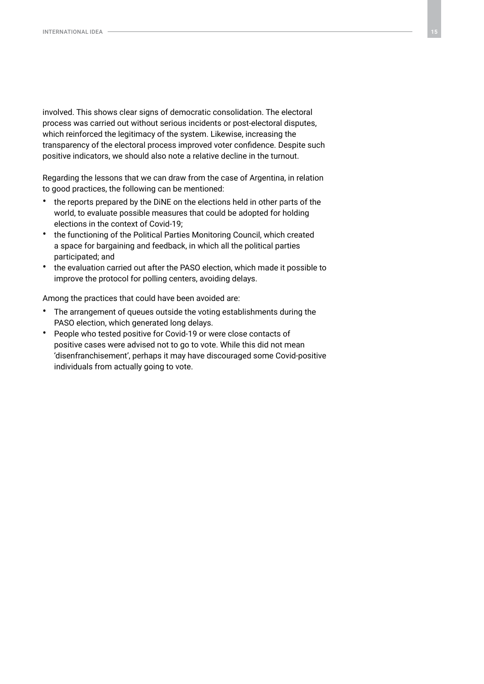involved. This shows clear signs of democratic consolidation. The electoral process was carried out without serious incidents or post-electoral disputes, which reinforced the legitimacy of the system. Likewise, increasing the transparency of the electoral process improved voter confidence. Despite such positive indicators, we should also note a relative decline in the turnout.

Regarding the lessons that we can draw from the case of Argentina, in relation to good practices, the following can be mentioned:

- the reports prepared by the DiNE on the elections held in other parts of the world, to evaluate possible measures that could be adopted for holding elections in the context of Covid-19;
- the functioning of the Political Parties Monitoring Council, which created a space for bargaining and feedback, in which all the political parties participated; and
- the evaluation carried out after the PASO election, which made it possible to improve the protocol for polling centers, avoiding delays.

Among the practices that could have been avoided are:

- The arrangement of queues outside the voting establishments during the PASO election, which generated long delays.
- People who tested positive for Covid-19 or were close contacts of positive cases were advised not to go to vote. While this did not mean 'disenfranchisement', perhaps it may have discouraged some Covid-positive individuals from actually going to vote.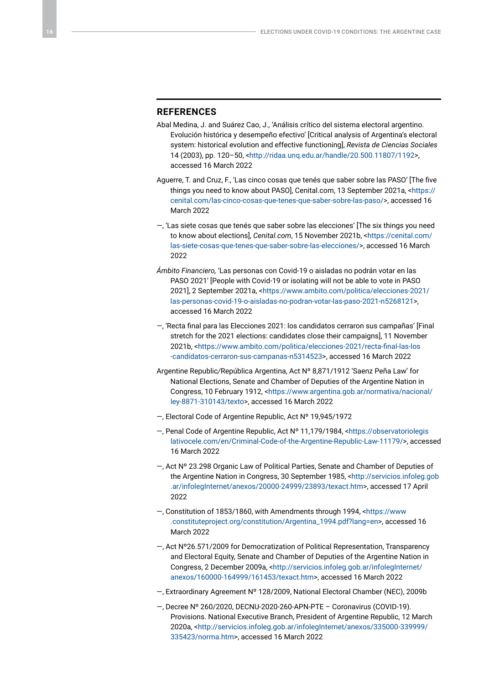### **REFERENCES**

- Abal Medina, J. and Suárez Cao, J., 'Análisis crítico del sistema electoral argentino. Evolución histórica y desempeño efectivo' [Critical analysis of Argentina's electoral system: historical evolution and effective functioning], *Revista de Ciencias Sociales*  14 (2003), pp. 120–50, [<http://ridaa.unq.edu.ar/handle/20.500.11807/1192>](http://ridaa.unq.edu.ar/handle/20.500.11807/1192), accessed 16 March 2022
- Aguerre, T. and Cruz, F., 'Las cinco cosas que tenés que saber sobre las PASO' [The five things you need to know about PASO], Cenital.com, 13 September 2021a, <[https://](https://cenital.com/las-cinco-cosas-que-tenes-que-saber-sobre-las-paso/) [cenital.com/las-cinco-cosas-que-tenes-que-saber-sobre-las-paso/>](https://cenital.com/las-cinco-cosas-que-tenes-que-saber-sobre-las-paso/), accessed 16 March 2022
- —, 'Las siete cosas que tenés que saber sobre las elecciones' [The six things you need to know about elections], *Cenital.com*, 15 November 2021b, [<https://cenital.com/](https://cenital.com/las-siete-cosas-que-tenes-que-saber-sobre-las-elecciones/) [las-siete-cosas-que-tenes-que-saber-sobre-las-elecciones/](https://cenital.com/las-siete-cosas-que-tenes-que-saber-sobre-las-elecciones/)>, accessed 16 March 2022
- *Ámbito Financiero,* 'Las personas con Covid-19 o aisladas no podrán votar en las PASO 2021' [People with Covid-19 or isolating will not be able to vote in PASO 2021], 2 September 2021a, [<https://www.ambito.com/politica/elecciones-2021/](https://www.ambito.com/politica/elecciones-2021/las-personas-covid-19-o-aisladas-no-podran-votar-las-paso-2021-n5268121) [las-personas-covid-19-o-aisladas-no-podran-votar-las-paso-2021-n5268121>](https://www.ambito.com/politica/elecciones-2021/las-personas-covid-19-o-aisladas-no-podran-votar-las-paso-2021-n5268121), accessed 16 March 2022
- *—*, 'Recta final para las Elecciones 2021: los candidatos cerraron sus campañas' [Final stretch for the 2021 elections: candidates close their campaigns], 11 November 2021b, <[https://www.ambito.com/politica/elecciones-2021/recta-final-las-los](https://www.ambito.com/politica/elecciones-2021/recta-final-las-los-candidatos-cerraron-sus-campanas-n5314523) [-candidatos-cerraron-sus-campanas-n5314523](https://www.ambito.com/politica/elecciones-2021/recta-final-las-los-candidatos-cerraron-sus-campanas-n5314523)>, accessed 16 March 2022
- Argentine Republic*/*República Argentina, Act Nº 8,871/1912 'Saenz Peña Law' for National Elections, Senate and Chamber of Deputies of the Argentine Nation in Congress, 10 February 1912, [<https://www.argentina.gob.ar/normativa/nacional/](https://www.argentina.gob.ar/normativa/nacional/ley-8871-310143/texto) [ley-8871-310143/texto](https://www.argentina.gob.ar/normativa/nacional/ley-8871-310143/texto)>, accessed 16 March 2022
- —, Electoral Code of Argentine Republic, Act Nº 19,945/1972
- —, Penal Code of Argentine Republic, Act Nº 11,179/1984, [<https://observatoriolegis](https://observatoriolegislativocele.com/en/Criminal-Code-of-the-Argentine-Republic-Law-11179/) [lativocele.com/en/Criminal-Code-of-the-Argentine-Republic-Law-11179/>](https://observatoriolegislativocele.com/en/Criminal-Code-of-the-Argentine-Republic-Law-11179/), accessed 16 March 2022
- —, Act Nº 23.298 Organic Law of Political Parties, Senate and Chamber of Deputies of the Argentine Nation in Congress, 30 September 1985, [<http://servicios.infoleg.gob](http://servicios.infoleg.gob.ar/infolegInternet/anexos/20000-24999/23893/texact.htm) [.ar/infolegInternet/anexos/20000-24999/23893/texact.htm>](http://servicios.infoleg.gob.ar/infolegInternet/anexos/20000-24999/23893/texact.htm), accessed 17 April 2022
- —, Constitution of 1853/1860, with Amendments through 1994, <[https://www](https://www.constituteproject.org/constitution/Argentina_1994.pdf?lang=en) [.constituteproject.org/constitution/Argentina\\_1994.pdf?lang=en](https://www.constituteproject.org/constitution/Argentina_1994.pdf?lang=en)>, accessed 16 March 2022
- —, Act Nº26.571/2009 for Democratization of Political Representation, Transparency and Electoral Equity, Senate and Chamber of Deputies of the Argentine Nation in Congress, 2 December 2009a, <[http://servicios.infoleg.gob.ar/infolegInternet/](http://servicios.infoleg.gob.ar/infolegInternet/anexos/160000-164999/161453/texact.htm) [anexos/160000-164999/161453/texact.htm](http://servicios.infoleg.gob.ar/infolegInternet/anexos/160000-164999/161453/texact.htm)>, accessed 16 March 2022
- —, Extraordinary Agreement Nº 128/2009, National Electoral Chamber (NEC), 2009b
- —, Decree Nº 260/2020, DECNU-2020-260-APN-PTE Coronavirus (COVID-19). Provisions. National Executive Branch, President of Argentine Republic, 12 March 2020a, [<http://servicios.infoleg.gob.ar/infolegInternet/anexos/335000-339999/](http://servicios.infoleg.gob.ar/infolegInternet/anexos/335000-339999/335423/norma.htm) [335423/norma.htm>](http://servicios.infoleg.gob.ar/infolegInternet/anexos/335000-339999/335423/norma.htm), accessed 16 March 2022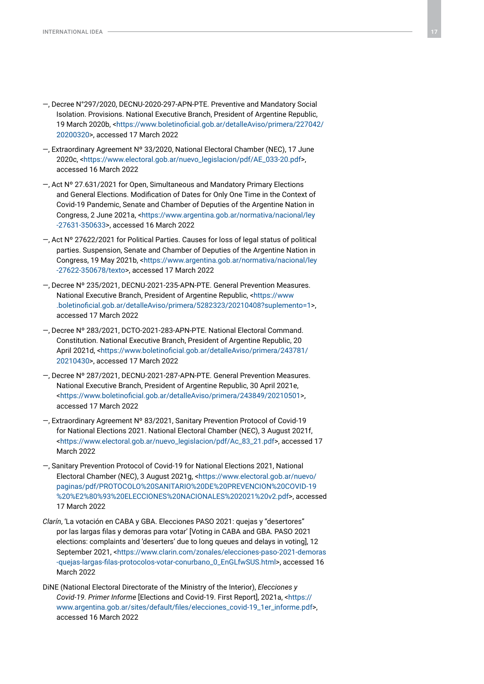- —, Decree N°297/2020, DECNU-2020-297-APN-PTE. Preventive and Mandatory Social Isolation. Provisions. National Executive Branch, President of Argentine Republic, 19 March 2020b, <[https://www.boletinoficial.gob.ar/detalleAviso/primera/227042/](https://www.boletinoficial.gob.ar/detalleAviso/primera/227042/20200320) [20200320>](https://www.boletinoficial.gob.ar/detalleAviso/primera/227042/20200320), accessed 17 March 2022
- —, Extraordinary Agreement Nº 33/2020, National Electoral Chamber (NEC), 17 June 2020c, <[https://www.electoral.gob.ar/nuevo\\_legislacion/pdf/AE\\_033-20.pdf](https://www.electoral.gob.ar/nuevo_legislacion/pdf/AE_033-20.pdf)>, accessed 16 March 2022
- —, Act Nº 27.631/2021 for Open, Simultaneous and Mandatory Primary Elections and General Elections. Modification of Dates for Only One Time in the Context of Covid-19 Pandemic, Senate and Chamber of Deputies of the Argentine Nation in Congress, 2 June 2021a, [<https://www.argentina.gob.ar/normativa/nacional/ley](https://www.argentina.gob.ar/normativa/nacional/ley-27631-350633) [-27631-350633](https://www.argentina.gob.ar/normativa/nacional/ley-27631-350633)>, accessed 16 March 2022
- —, Act Nº 27622/2021 for Political Parties. Causes for loss of legal status of political parties. Suspension, Senate and Chamber of Deputies of the Argentine Nation in Congress, 19 May 2021b, <[https://www.argentina.gob.ar/normativa/nacional/ley](https://www.argentina.gob.ar/normativa/nacional/ley-27622-350678/texto) [-27622-350678/texto>](https://www.argentina.gob.ar/normativa/nacional/ley-27622-350678/texto), accessed 17 March 2022
- —, Decree Nº 235/2021, DECNU-2021-235-APN-PTE. General Prevention Measures. National Executive Branch, President of Argentine Republic, [<https://www](https://www.boletinoficial.gob.ar/detalleAviso/primera/5282323/20210408?suplemento=1) [.boletinoficial.gob.ar/detalleAviso/primera/5282323/20210408?suplemento=1](https://www.boletinoficial.gob.ar/detalleAviso/primera/5282323/20210408?suplemento=1)>, accessed 17 March 2022
- —, Decree Nº 283/2021, DCTO-2021-283-APN-PTE. National Electoral Command. Constitution. National Executive Branch, President of Argentine Republic, 20 April 2021d, <[https://www.boletinoficial.gob.ar/detalleAviso/primera/243781/](https://www.boletinoficial.gob.ar/detalleAviso/primera/243781/20210430) [20210430>](https://www.boletinoficial.gob.ar/detalleAviso/primera/243781/20210430), accessed 17 March 2022
- —, Decree Nº 287/2021, DECNU-2021-287-APN-PTE. General Prevention Measures. National Executive Branch, President of Argentine Republic, 30 April 2021e, <<https://www.boletinoficial.gob.ar/detalleAviso/primera/243849/20210501>>, accessed 17 March 2022
- —, Extraordinary Agreement Nº 83/2021, Sanitary Prevention Protocol of Covid-19 for National Elections 2021. National Electoral Chamber (NEC), 3 August 2021f, [<https://www.electoral.gob.ar/nuevo\\_legislacion/pdf/Ac\\_83\\_21.pdf](https://www.electoral.gob.ar/nuevo_legislacion/pdf/Ac_83_21.pdf)>, accessed 17 March 2022
- —, Sanitary Prevention Protocol of Covid-19 for National Elections 2021, National Electoral Chamber (NEC), 3 August 2021g, [<https://www.electoral.gob.ar/nuevo/](https://www.electoral.gob.ar/nuevo/paginas/pdf/PROTOCOLO%20SANITARIO%20DE%20PREVENCION%20COVID-19%20%E2%80%93%20ELECCIONES%20NACIONALES%202021%20v2.pdf) [paginas/pdf/PROTOCOLO%20SANITARIO%20DE%20PREVENCION%20COVID-19](https://www.electoral.gob.ar/nuevo/paginas/pdf/PROTOCOLO%20SANITARIO%20DE%20PREVENCION%20COVID-19%20%E2%80%93%20ELECCIONES%20NACIONALES%202021%20v2.pdf) [%20%E2%80%93%20ELECCIONES%20NACIONALES%202021%20v2.pdf](https://www.electoral.gob.ar/nuevo/paginas/pdf/PROTOCOLO%20SANITARIO%20DE%20PREVENCION%20COVID-19%20%E2%80%93%20ELECCIONES%20NACIONALES%202021%20v2.pdf)>, accessed 17 March 2022
- *Clarín*, 'La votación en CABA y GBA. Elecciones PASO 2021: quejas y "desertores" por las largas filas y demoras para votar' [Voting in CABA and GBA. PASO 2021 elections: complaints and 'deserters' due to long queues and delays in voting], 12 September 2021, [<https://www.clarin.com/zonales/elecciones-paso-2021-demoras](https://www.clarin.com/zonales/elecciones-paso-2021-demoras-quejas-largas-filas-protocolos-votar-conurbano_0_EnGLfwSUS.html) [-quejas-largas-filas-protocolos-votar-conurbano\\_0\\_EnGLfwSUS.html](https://www.clarin.com/zonales/elecciones-paso-2021-demoras-quejas-largas-filas-protocolos-votar-conurbano_0_EnGLfwSUS.html)>, accessed 16 March 2022
- DiNE (National Electoral Directorate of the Ministry of the Interior), *Elecciones y Covid-19. Primer Informe* [Elections and Covid-19. First Report], 2021a, <[https://](https://www.argentina.gob.ar/sites/default/files/elecciones_covid-19_1er_informe.pdf) [www.argentina.gob.ar/sites/default/files/elecciones\\_covid-19\\_1er\\_informe.pdf](https://www.argentina.gob.ar/sites/default/files/elecciones_covid-19_1er_informe.pdf)>, accessed 16 March 2022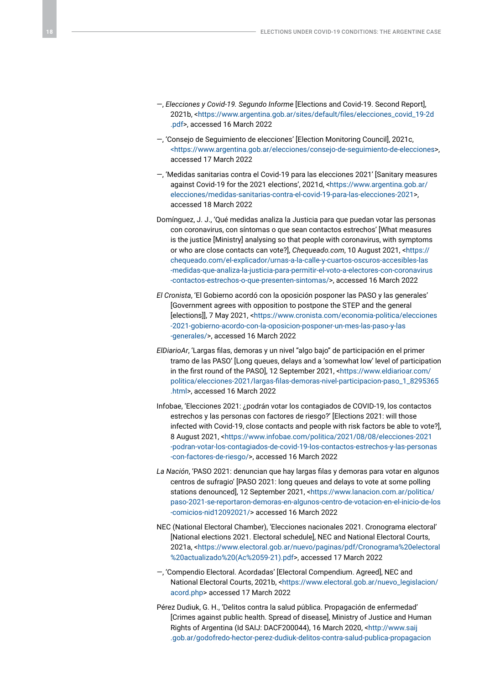- —, *Elecciones y Covid-19. Segundo Informe* [Elections and Covid-19. Second Report], 2021b, <[https://www.argentina.gob.ar/sites/default/files/elecciones\\_covid\\_19-2d](https://www.argentina.gob.ar/sites/default/files/elecciones_covid_19-2d.pdf) [.pdf](https://www.argentina.gob.ar/sites/default/files/elecciones_covid_19-2d.pdf)>, accessed 16 March 2022
- —, 'Consejo de Seguimiento de elecciones' [Election Monitoring Council], 2021c, [<https://www.argentina.gob.ar/elecciones/consejo-de-seguimiento-de-elecciones>](https://www.argentina.gob.ar/elecciones/consejo-de-seguimiento-de-elecciones), accessed 17 March 2022
- —, 'Medidas sanitarias contra el Covid-19 para las elecciones 2021' [Sanitary measures against Covid-19 for the 2021 elections', 2021d, <[https://www.argentina.gob.ar/](https://www.argentina.gob.ar/elecciones/medidas-sanitarias-contra-el-covid-19-para-las-elecciones-2021) [elecciones/medidas-sanitarias-contra-el-covid-19-para-las-elecciones-2021>](https://www.argentina.gob.ar/elecciones/medidas-sanitarias-contra-el-covid-19-para-las-elecciones-2021), accessed 18 March 2022
- Domínguez, J. J., 'Qué medidas analiza la Justicia para que puedan votar las personas con coronavirus, con síntomas o que sean contactos estrechos' [What measures is the justice [Ministry] analysing so that people with coronavirus, with symptoms or who are close contacts can vote?], *Chequeado.com*, 10 August 2021, [<https://](https://chequeado.com/el-explicador/urnas-a-la-calle-y-cuartos-oscuros-accesibles-las-medidas-que-analiza-la-justicia-para-permitir-el-voto-a-electores-con-coronavirus-contactos-estrechos-o-que-presenten-sintomas/) [chequeado.com/el-explicador/urnas-a-la-calle-y-cuartos-oscuros-accesibles-las](https://chequeado.com/el-explicador/urnas-a-la-calle-y-cuartos-oscuros-accesibles-las-medidas-que-analiza-la-justicia-para-permitir-el-voto-a-electores-con-coronavirus-contactos-estrechos-o-que-presenten-sintomas/) [-medidas-que-analiza-la-justicia-para-permitir-el-voto-a-electores-con-coronavirus](https://chequeado.com/el-explicador/urnas-a-la-calle-y-cuartos-oscuros-accesibles-las-medidas-que-analiza-la-justicia-para-permitir-el-voto-a-electores-con-coronavirus-contactos-estrechos-o-que-presenten-sintomas/) [-contactos-estrechos-o-que-presenten-sintomas/>](https://chequeado.com/el-explicador/urnas-a-la-calle-y-cuartos-oscuros-accesibles-las-medidas-que-analiza-la-justicia-para-permitir-el-voto-a-electores-con-coronavirus-contactos-estrechos-o-que-presenten-sintomas/), accessed 16 March 2022
- *El Cronista*, 'El Gobierno acordó con la oposición posponer las PASO y las generales' [Government agrees with opposition to postpone the STEP and the general [elections]], 7 May 2021, [<https://www.cronista.com/economia-politica/elecciones](https://www.cronista.com/economia-politica/elecciones-2021-gobierno-acordo-con-la-oposicion-posponer-un-mes-las-paso-y-las-generales/) [-2021-gobierno-acordo-con-la-oposicion-posponer-un-mes-las-paso-y-las](https://www.cronista.com/economia-politica/elecciones-2021-gobierno-acordo-con-la-oposicion-posponer-un-mes-las-paso-y-las-generales/) [-generales/>](https://www.cronista.com/economia-politica/elecciones-2021-gobierno-acordo-con-la-oposicion-posponer-un-mes-las-paso-y-las-generales/), accessed 16 March 2022
- *ElDiarioAr*, 'Largas filas, demoras y un nivel "algo bajo" de participación en el primer tramo de las PASO' [Long queues, delays and a 'somewhat low' level of participation in the first round of the PASO], 12 September 2021, [<https://www.eldiarioar.com/](https://www.eldiarioar.com/politica/elecciones-2021/largas-filas-demoras-nivel-participacion-paso_1_8295365.html) [politica/elecciones-2021/largas-filas-demoras-nivel-participacion-paso\\_1\\_8295365](https://www.eldiarioar.com/politica/elecciones-2021/largas-filas-demoras-nivel-participacion-paso_1_8295365.html) [.html](https://www.eldiarioar.com/politica/elecciones-2021/largas-filas-demoras-nivel-participacion-paso_1_8295365.html)>, accessed 16 March 2022
- Infobae, 'Elecciones 2021: ¿podrán votar los contagiados de COVID-19, los contactos estrechos y las personas con factores de riesgo?' [Elections 2021: will those infected with Covid-19, close contacts and people with risk factors be able to vote?], 8 August 2021, [<https://www.infobae.com/politica/2021/08/08/elecciones-2021](https://www.infobae.com/politica/2021/08/08/elecciones-2021-podran-votar-los-contagiados-de-covid-19-los-contactos-estrechos-y-las-personas-con-factores-de-riesgo/) [-podran-votar-los-contagiados-de-covid-19-los-contactos-estrechos-y-las-personas](https://www.infobae.com/politica/2021/08/08/elecciones-2021-podran-votar-los-contagiados-de-covid-19-los-contactos-estrechos-y-las-personas-con-factores-de-riesgo/) [-con-factores-de-riesgo/>](https://www.infobae.com/politica/2021/08/08/elecciones-2021-podran-votar-los-contagiados-de-covid-19-los-contactos-estrechos-y-las-personas-con-factores-de-riesgo/), accessed 16 March 2022
- *La Nación*, 'PASO 2021: denuncian que hay largas filas y demoras para votar en algunos centros de sufragio' [PASO 2021: long queues and delays to vote at some polling stations denounced], 12 September 2021, [<https://www.lanacion.com.ar/politica/](https://www.lanacion.com.ar/politica/paso-2021-se-reportaron-demoras-en-algunos-centro-de-votacion-en-el-inicio-de-los-comicios-nid12092021/) [paso-2021-se-reportaron-demoras-en-algunos-centro-de-votacion-en-el-inicio-de-los](https://www.lanacion.com.ar/politica/paso-2021-se-reportaron-demoras-en-algunos-centro-de-votacion-en-el-inicio-de-los-comicios-nid12092021/) [-comicios-nid12092021/>](https://www.lanacion.com.ar/politica/paso-2021-se-reportaron-demoras-en-algunos-centro-de-votacion-en-el-inicio-de-los-comicios-nid12092021/) accessed 16 March 2022
- NEC (National Electoral Chamber), 'Elecciones nacionales 2021. Cronograma electoral' [National elections 2021. Electoral schedule], NEC and National Electoral Courts, 2021a, [<https://www.electoral.gob.ar/nuevo/paginas/pdf/Cronograma%20electoral](https://www.electoral.gob.ar/nuevo/paginas/pdf/Cronograma%20electoral%20actualizado%20(Ac%2059-21).pdf) [%20actualizado%20\(Ac%2059-21\).pdf](https://www.electoral.gob.ar/nuevo/paginas/pdf/Cronograma%20electoral%20actualizado%20(Ac%2059-21).pdf)>, accessed 17 March 2022
- —, 'Compendio Electoral. Acordadas' [Electoral Compendium. Agreed], NEC and National Electoral Courts, 2021b, [<https://www.electoral.gob.ar/nuevo\\_legislacion/](https://www.electoral.gob.ar/nuevo_legislacion/acord.php) [acord.php](https://www.electoral.gob.ar/nuevo_legislacion/acord.php)> accessed 17 March 2022
- Pérez Dudiuk, G. H., 'Delitos contra la salud pública. Propagación de enfermedad' [Crimes against public health. Spread of disease], Ministry of Justice and Human Rights of Argentina (Id SAIJ: DACF200044), 16 March 2020, [<http://www.saij](http://www.saij.gob.ar/godofredo-hector-perez-dudiuk-delitos-contra-salud-publica-propagacion-enfermedad-dacf200044-2020-03-16/123456789-0abc-defg4400-02fcanirtcod) [.gob.ar/godofredo-hector-perez-dudiuk-delitos-contra-salud-publica-propagacion](http://www.saij.gob.ar/godofredo-hector-perez-dudiuk-delitos-contra-salud-publica-propagacion-enfermedad-dacf200044-2020-03-16/123456789-0abc-defg4400-02fcanirtcod)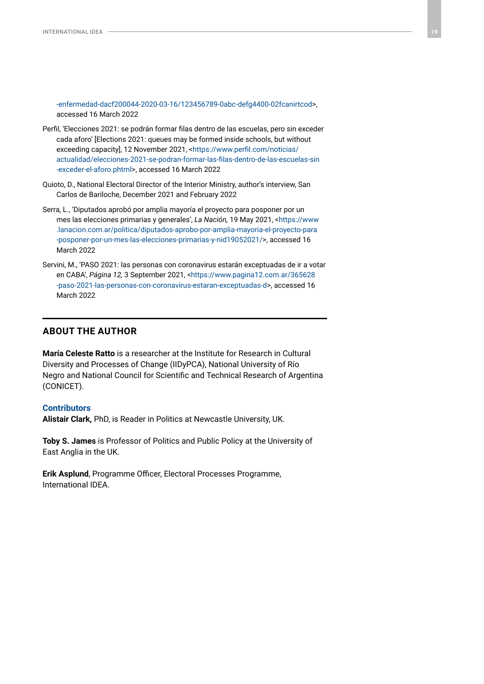[-enfermedad-dacf200044-2020-03-16/123456789-0abc-defg4400-02fcanirtcod](http://www.saij.gob.ar/godofredo-hector-perez-dudiuk-delitos-contra-salud-publica-propagacion-enfermedad-dacf200044-2020-03-16/123456789-0abc-defg4400-02fcanirtcod)>, accessed 16 March 2022

- Perfil, 'Elecciones 2021: se podrán formar filas dentro de las escuelas, pero sin exceder cada aforo' [Elections 2021: queues may be formed inside schools, but without exceeding capacity], 12 November 2021, <[https://www.perfil.com/noticias/](https://www.perfil.com/noticias/actualidad/elecciones-2021-se-podran-formar-las-filas-dentro-de-las-escuelas-sin-exceder-el-aforo.phtml) [actualidad/elecciones-2021-se-podran-formar-las-filas-dentro-de-las-escuelas-sin](https://www.perfil.com/noticias/actualidad/elecciones-2021-se-podran-formar-las-filas-dentro-de-las-escuelas-sin-exceder-el-aforo.phtml) [-exceder-el-aforo.phtml](https://www.perfil.com/noticias/actualidad/elecciones-2021-se-podran-formar-las-filas-dentro-de-las-escuelas-sin-exceder-el-aforo.phtml)>, accessed 16 March 2022
- Quioto, D., National Electoral Director of the Interior Ministry, author's interview, San Carlos de Bariloche, December 2021 and February 2022
- Serra, L., 'Diputados aprobó por amplia mayoría el proyecto para posponer por un mes las elecciones primarias y generales', *La Nación,* 19 May 2021, <[https://www](https://www.lanacion.com.ar/politica/diputados-aprobo-por-amplia-mayoria-el-proyecto-para-posponer-por-un-mes-las-elecciones-primarias-y-nid19052021/) [.lanacion.com.ar/politica/diputados-aprobo-por-amplia-mayoria-el-proyecto-para](https://www.lanacion.com.ar/politica/diputados-aprobo-por-amplia-mayoria-el-proyecto-para-posponer-por-un-mes-las-elecciones-primarias-y-nid19052021/) [-posponer-por-un-mes-las-elecciones-primarias-y-nid19052021/](https://www.lanacion.com.ar/politica/diputados-aprobo-por-amplia-mayoria-el-proyecto-para-posponer-por-un-mes-las-elecciones-primarias-y-nid19052021/)>, accessed 16 March 2022
- Servini, M., 'PASO 2021: las personas con coronavirus estarán exceptuadas de ir a votar en CABA', *Página 12,* 3 September 2021, <[https://www.pagina12.com.ar/365628](https://www.pagina12.com.ar/365628-paso-2021-las-personas-con-coronavirus-estaran-exceptuadas-d) [-paso-2021-las-personas-con-coronavirus-estaran-exceptuadas-d](https://www.pagina12.com.ar/365628-paso-2021-las-personas-con-coronavirus-estaran-exceptuadas-d)>, accessed 16 March 2022

## **ABOUT THE AUTHOR**

**María Celeste Ratto** is a researcher at the Institute for Research in Cultural Diversity and Processes of Change (IIDyPCA), National University of Río Negro and National Council for Scientific and Technical Research of Argentina (CONICET).

#### **Contributors**

**Alistair Clark,** PhD, is Reader in Politics at Newcastle University, UK.

**Toby S. James** is Professor of Politics and Public Policy at the University of East Anglia in the UK.

**Erik Asplund**, Programme Officer, Electoral Processes Programme, International IDEA.